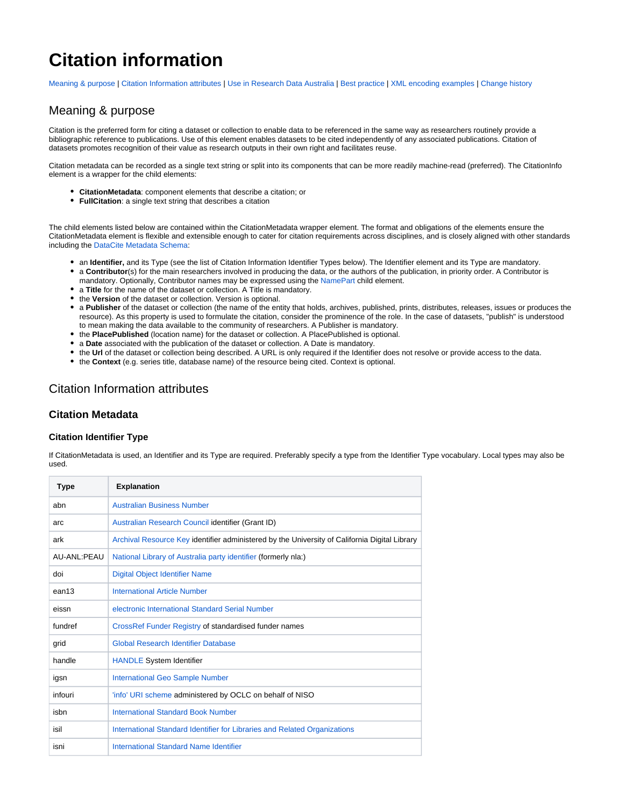# **Citation information**

[Meaning & purpose](#page-0-0) | [Citation Information attributes](#page-0-1) | [Use in Research Data Australia](#page-2-0) | [Best practice](#page-2-1) | [XML encoding examples](#page-2-2) | [Change history](#page-3-0)

### <span id="page-0-0"></span>Meaning & purpose

Citation is the preferred form for citing a dataset or collection to enable data to be referenced in the same way as researchers routinely provide a bibliographic reference to publications. Use of this element enables datasets to be cited independently of any associated publications. Citation of datasets promotes recognition of their value as research outputs in their own right and facilitates reuse.

Citation metadata can be recorded as a single text string or split into its components that can be more readily machine-read (preferred). The CitationInfo element is a wrapper for the child elements:

- **CitationMetadata**: component elements that describe a citation; or
- **FullCitation**: a single text string that describes a citation

The child elements listed below are contained within the CitationMetadata wrapper element. The format and obligations of the elements ensure the CitationMetadata element is flexible and extensible enough to cater for citation requirements across disciplines, and is closely aligned with other standards including the [DataCite Metadata Schema](http://schema.datacite.org/):

- an **Identifier,** and its Type (see the list of Citation Information Identifier Types below). The Identifier element and its Type are mandatory.
- a **Contributor**(s) for the main researchers involved in producing the data, or the authors of the publication, in priority order. A Contributor is mandatory. Optionally, Contributor names may be expressed using the [NamePart](https://intranet.ands.org.au/display/DOC/Name) child element.
- a **Title** for the name of the dataset or collection. A Title is mandatory.
- the **Version** of the dataset or collection. Version is optional.
- a **Publisher** of the dataset or collection (the name of the entity that holds, archives, published, prints, distributes, releases, issues or produces the resource). As this property is used to formulate the citation, consider the prominence of the role. In the case of datasets, "publish" is understood to mean making the data available to the community of researchers. A Publisher is mandatory.
- the **PlacePublished** (location name) for the dataset or collection. A PlacePublished is optional.
- a **Date** associated with the publication of the dataset or collection. A Date is mandatory.
- the Url of the dataset or collection being described. A URL is only required if the Identifier does not resolve or provide access to the data.
- the **Context** (e.g. series title, database name) of the resource being cited. Context is optional.

### <span id="page-0-1"></span>Citation Information attributes

### **Citation Metadata**

#### **Citation Identifier Type**

If CitationMetadata is used, an Identifier and its Type are required. Preferably specify a type from the Identifier Type vocabulary. Local types may also be used.

| <b>Type</b> | <b>Explanation</b>                                                                            |
|-------------|-----------------------------------------------------------------------------------------------|
| abn         | <b>Australian Business Number</b>                                                             |
| arc         | Australian Research Council identifier (Grant ID)                                             |
| ark         | Archival Resource Key identifier administered by the University of California Digital Library |
| AU-ANL:PEAU | National Library of Australia party identifier (formerly nla:)                                |
| doi         | Digital Object Identifier Name                                                                |
| ean13       | International Article Number                                                                  |
| eissn       | electronic International Standard Serial Number                                               |
| fundref     | CrossRef Funder Registry of standardised funder names                                         |
| grid        | Global Research Identifier Database                                                           |
| handle      | <b>HANDLE System Identifier</b>                                                               |
| igsn        | <b>International Geo Sample Number</b>                                                        |
| infouri     | 'info' URI scheme administered by OCLC on behalf of NISO                                      |
| isbn        | <b>International Standard Book Number</b>                                                     |
| isil        | International Standard Identifier for Libraries and Related Organizations                     |
| isni        | International Standard Name Identifier                                                        |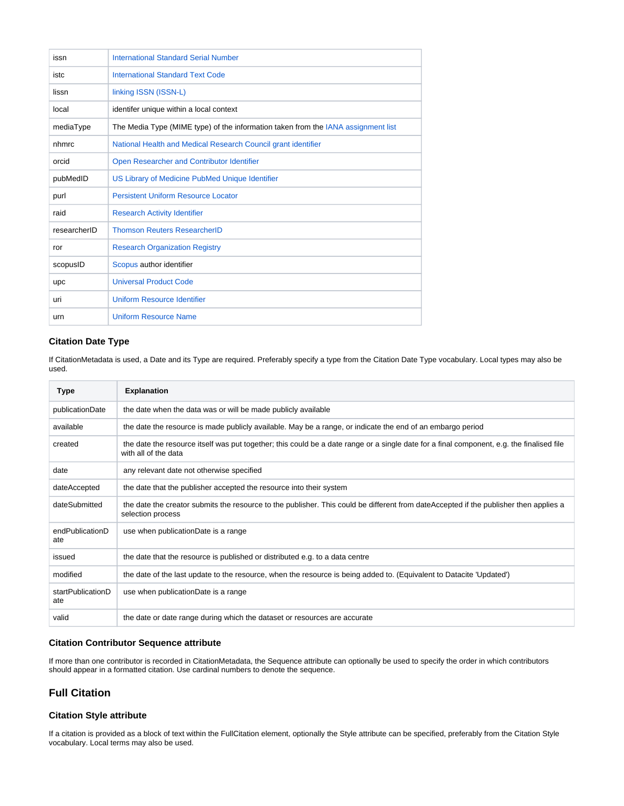| issn         | <b>International Standard Serial Number</b>                                       |
|--------------|-----------------------------------------------------------------------------------|
| istc         | <b>International Standard Text Code</b>                                           |
| lissn        | linking ISSN (ISSN-L)                                                             |
| local        | identifer unique within a local context                                           |
| mediaType    | The Media Type (MIME type) of the information taken from the IANA assignment list |
| nhmrc        | National Health and Medical Research Council grant identifier                     |
| orcid        | Open Researcher and Contributor Identifier                                        |
| pubMedID     | US Library of Medicine PubMed Unique Identifier                                   |
| purl         | <b>Persistent Uniform Resource Locator</b>                                        |
| raid         | <b>Research Activity Identifier</b>                                               |
| researcherID | <b>Thomson Reuters ResearcherID</b>                                               |
| ror          | <b>Research Organization Registry</b>                                             |
| scopusID     | Scopus author identifier                                                          |
| upc          | <b>Universal Product Code</b>                                                     |
| uri          | <b>Uniform Resource Identifier</b>                                                |
| urn          | <b>Uniform Resource Name</b>                                                      |

### **Citation Date Type**

If CitationMetadata is used, a Date and its Type are required. Preferably specify a type from the Citation Date Type vocabulary. Local types may also be used.

| Type                     | <b>Explanation</b>                                                                                                                                                |
|--------------------------|-------------------------------------------------------------------------------------------------------------------------------------------------------------------|
| publicationDate          | the date when the data was or will be made publicly available                                                                                                     |
| available                | the date the resource is made publicly available. May be a range, or indicate the end of an embargo period                                                        |
| created                  | the date the resource itself was put together; this could be a date range or a single date for a final component, e.g. the finalised file<br>with all of the data |
| date                     | any relevant date not otherwise specified                                                                                                                         |
| dateAccepted             | the date that the publisher accepted the resource into their system                                                                                               |
| dateSubmitted            | the date the creator submits the resource to the publisher. This could be different from dateAccepted if the publisher then applies a<br>selection process        |
| endPublicationD<br>ate   | use when publicationDate is a range                                                                                                                               |
| issued                   | the date that the resource is published or distributed e.g. to a data centre                                                                                      |
| modified                 | the date of the last update to the resource, when the resource is being added to. (Equivalent to Datacite 'Updated')                                              |
| startPublicationD<br>ate | use when publicationDate is a range                                                                                                                               |
| valid                    | the date or date range during which the dataset or resources are accurate                                                                                         |

### **Citation Contributor Sequence attribute**

If more than one contributor is recorded in CitationMetadata, the Sequence attribute can optionally be used to specify the order in which contributors should appear in a formatted citation. Use cardinal numbers to denote the sequence.

### **Full Citation**

### **Citation Style attribute**

If a citation is provided as a block of text within the FullCitation element, optionally the Style attribute can be specified, preferably from the Citation Style vocabulary. Local terms may also be used.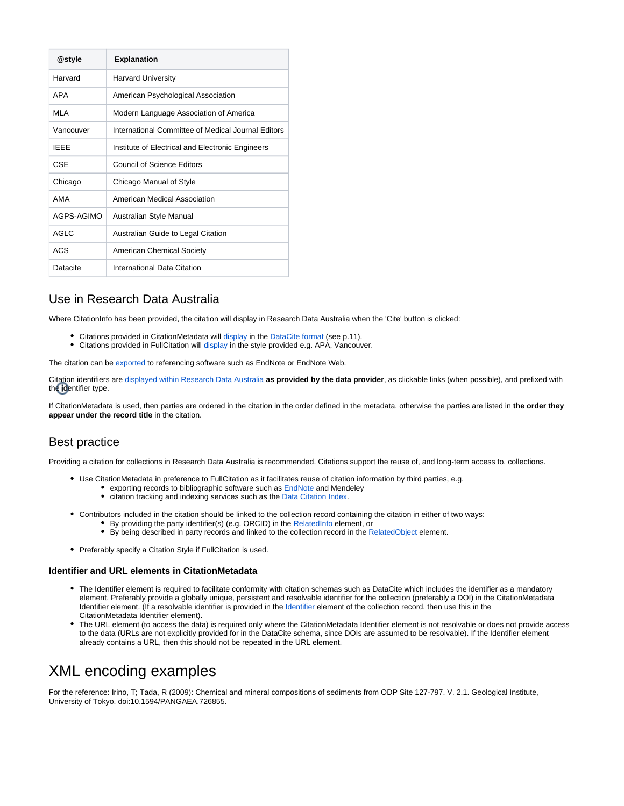| @style      | <b>Explanation</b>                                 |
|-------------|----------------------------------------------------|
| Harvard     | <b>Harvard University</b>                          |
| APA         | American Psychological Association                 |
| MI A        | Modern Language Association of America             |
| Vancouver   | International Committee of Medical Journal Editors |
| <b>IFFF</b> | Institute of Electrical and Electronic Engineers   |
| CSE         | Council of Science Editors                         |
| Chicago     | Chicago Manual of Style                            |
| AMA         | American Medical Association                       |
| AGPS-AGIMO  | Australian Style Manual                            |
| AGI C       | Australian Guide to Legal Citation                 |
| <b>ACS</b>  | American Chemical Society                          |
| Datacite    | International Data Citation                        |

### <span id="page-2-0"></span>Use in Research Data Australia

Where CitationInfo has been provided, the citation will display in Research Data Australia when the 'Cite' button is clicked:

- Citations provided in CitationMetadata will [display](http://researchdata.ands.org.au/monthly-drought-data-for-australia-1890-2008-using-the-hutchinson-drought-index) in the [DataCite format](https://schema.datacite.org/meta/kernel-4.1/doc/DataCite-MetadataKernel_v4.1.pdf) (see p.11).
- Citations provided in FullCitation will [display](http://researchdata.ands.org.au/water-research-australia-1008-bacteriology/561021) in the style provided e.g. APA, Vancouver.

The citation can be [exported](https://intranet.ands.org.au/display/DOC/How+to+Export+to+EndNote) to referencing software such as EndNote or EndNote Web.

Citation identifiers are [displayed within Research Data Australia](https://documentation.ands.org.au/display/DOC/Research+Data+Australia+functionality+and+display/#ResearchDataAustraliafunctionalityanddisplay-Identifier) **as provided by the data provider**, as clickable links (when possible), and prefixed with the identifier type.

If CitationMetadata is used, then parties are ordered in the citation in the order defined in the metadata, otherwise the parties are listed in **the order they appear under the record title** in the citation.

### <span id="page-2-1"></span>Best practice

Providing a citation for collections in Research Data Australia is recommended. Citations support the reuse of, and long-term access to, collections.

- Use CitationMetadata in preference to FullCitation as it facilitates reuse of citation information by third parties, e.g.
	- **exporting records to bibliographic software such as [EndNote](http://services.ands.org.au/documentation/EndNoteHelp/) and Mendeley**
	- citation tracking and indexing services such as the [Data Citation Index.](http://www.ands.org.au/online-services/research-data-australia/data-citation-index)
- Contributors included in the citation should be linked to the collection record containing the citation in either of two ways:
	- By providing the party identifier(s) (e.g. ORCID) in the [RelatedInfo e](https://intranet.ands.org.au/display/DOC/Related+information)lement, or
	- By being described in party records and linked to the collection record in the [RelatedObject](https://intranet.ands.org.au/display/DOC/Related+objects+and+relationships) element.
- Preferably specify a Citation Style if FullCitation is used.

### **Identifier and URL elements in CitationMetadata**

- The Identifier element is required to facilitate conformity with citation schemas such as DataCite which includes the identifier as a mandatory element. Preferably provide a globally unique, persistent and resolvable identifier for the collection (preferably a DOI) in the CitationMetadata Identifier element. (If a resolvable identifier is provided in the [Identifier](https://intranet.ands.org.au/display/DOC/Identifier) element of the collection record, then use this in the CitationMetadata Identifier element).
- The URL element (to access the data) is required only where the CitationMetadata Identifier element is not resolvable or does not provide access  $\bullet$ to the data (URLs are not explicitly provided for in the DataCite schema, since DOIs are assumed to be resolvable). If the Identifier element already contains a URL, then this should not be repeated in the URL element.

## <span id="page-2-2"></span>XML encoding examples

For the reference: Irino, T; Tada, R (2009): Chemical and mineral compositions of sediments from ODP Site 127-797. V. 2.1. Geological Institute, University of Tokyo. doi:10.1594/PANGAEA.726855.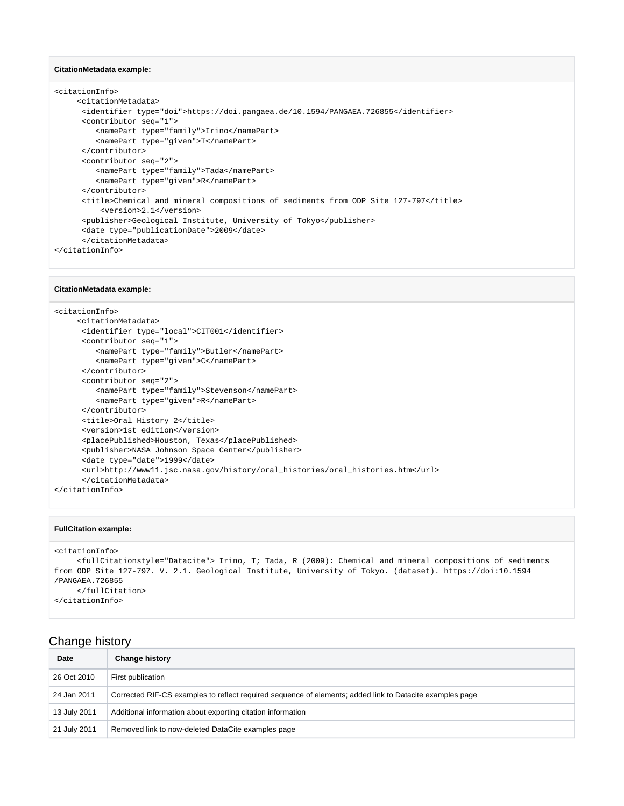#### **CitationMetadata example:**

```
<citationInfo>
      <citationMetadata>
      <identifier type="doi">https://doi.pangaea.de/10.1594/PANGAEA.726855</identifier>
      <contributor seq="1">
          <namePart type="family">Irino</namePart>
          <namePart type="given">T</namePart>
      </contributor>
       <contributor seq="2">
          <namePart type="family">Tada</namePart>
          <namePart type="given">R</namePart>
       </contributor>
       <title>Chemical and mineral compositions of sediments from ODP Site 127-797</title>
           <version>2.1</version>
       <publisher>Geological Institute, University of Tokyo</publisher>
       <date type="publicationDate">2009</date>
       </citationMetadata>
</citationInfo>
```
#### **CitationMetadata example:**

```
<citationInfo>
     <citationMetadata>
      <identifier type="local">CIT001</identifier>
       <contributor seq="1">
         <namePart type="family">Butler</namePart>
          <namePart type="given">C</namePart>
      </contributor>
       <contributor seq="2">
          <namePart type="family">Stevenson</namePart>
          <namePart type="given">R</namePart>
       </contributor>
      <title>Oral History 2</title>
       <version>1st edition</version>
       <placePublished>Houston, Texas</placePublished>
       <publisher>NASA Johnson Space Center</publisher>
       <date type="date">1999</date>
       <url>http://www11.jsc.nasa.gov/history/oral_histories/oral_histories.htm</url>
       </citationMetadata>
</citationInfo>
```
#### **FullCitation example:**

```
<citationInfo>
     <fullCitationstyle="Datacite"> Irino, T; Tada, R (2009): Chemical and mineral compositions of sediments 
from ODP Site 127-797. V. 2.1. Geological Institute, University of Tokyo. (dataset). https://doi:10.1594
/PANGAEA.726855 
     </fullCitation>
</citationInfo>
```
### <span id="page-3-0"></span>Change history

| Date         | <b>Change history</b>                                                                                    |
|--------------|----------------------------------------------------------------------------------------------------------|
| 26 Oct 2010  | First publication                                                                                        |
| 24 Jan 2011  | Corrected RIF-CS examples to reflect required sequence of elements; added link to Datacite examples page |
| 13 July 2011 | Additional information about exporting citation information                                              |
| 21 July 2011 | Removed link to now-deleted DataCite examples page                                                       |